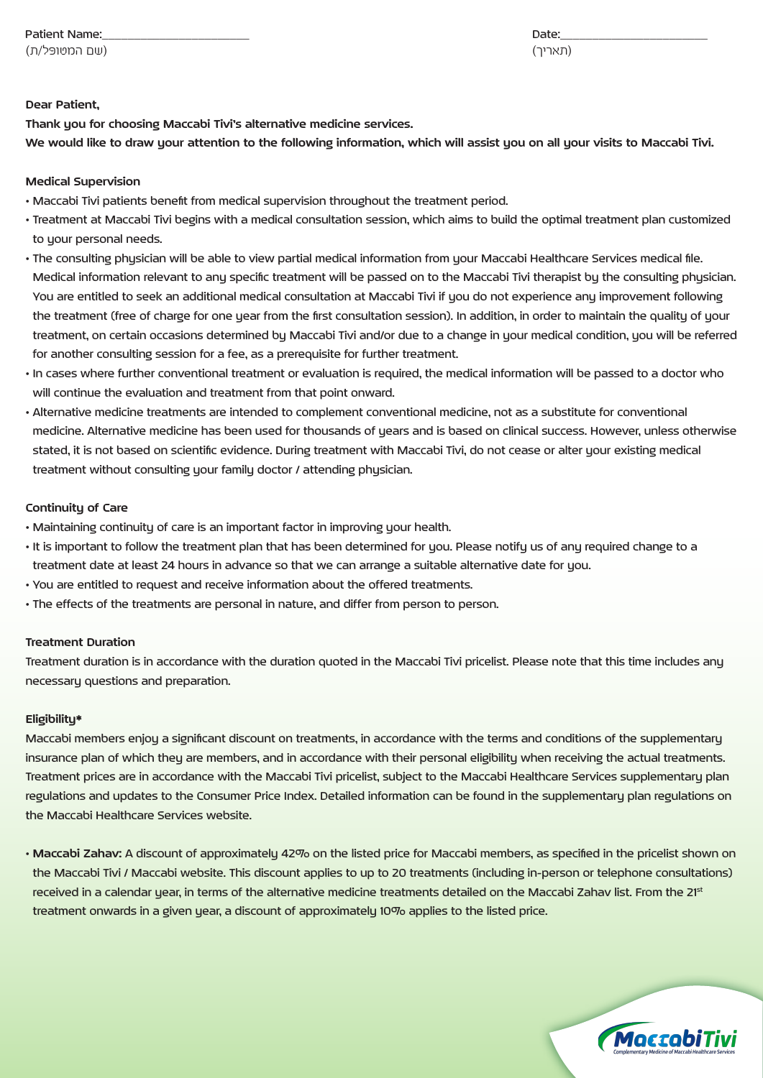\_\_\_\_\_\_\_\_\_\_\_\_\_\_\_\_\_\_\_\_\_\_\_:Date\_\_\_\_\_\_\_\_\_\_\_\_\_\_\_\_\_\_\_\_\_\_\_ :Name Patient

(שם המטופל/ת)

(תאריך)

### **Dear Patient.**

Thank uou for choosing Maccabi Tivi's alternative medicine services. We would like to draw your attention to the following information, which will assist you on all your visits to Maccabi Tivi.

### **Medical Supervision**

- . Maccabi Tivi patients benefit from medical supervision throughout the treatment period.
- Treatment at Maccabi Tivi begins with a medical consultation session, which aims to build the optimal treatment plan customized to your personal needs.
- . The consulting physician will be able to view partial medical information from your Maccabi Healthcare Services medical file. Medical information relevant to anu specific treatment will be passed on to the Maccabi Tivi therapist bu the consulting phusician. You are entitled to seek an additional medical consultation at Maccabi Tivi if you do not experience any improvement following the treatment (free of charge for one year from the first consultation session). In addition, in order to maintain the quality of your treatment, on certain occasions determined bu Maccabi Tivi and/or due to a change in uour medical condition, uou will be referred for another consulting session for a fee, as a prerequisite for further treatment.
- · In cases where further conventional treatment or evaluation is required, the medical information will be passed to a doctor who will continue the evaluation and treatment from that point onward.
- Alternative medicine treatments are intended to complement conventional medicine, not as a substitute for conventional medicine. Alternative medicine has been used for thousands of years and is based on clinical success. However, unless otherwise stated, it is not based on scientific evidence. During treatment with Maccabi Tivi, do not cease or alter your existing medical treatment without consulting your family doctor / attending physician.

### **Continuity of Care**

- . Maintaining continuity of care is an important factor in improving your health.
- . It is important to follow the treatment plan that has been determined for you. Please notify us of any required change to a treatment date at least 24 hours in advance so that we can arrange a suitable alternative date for you.
- . You are entitled to request and receive information about the offered treatments.
- . The effects of the treatments are personal in nature, and differ from person to person.

# **Treatment Duration**

Treatment duration is in accordance with the duration quoted in the Maccabi Tivi pricelist. Please note that this time includes any necessary questions and preparation.

### **\*Eligibility**

Maccabi members enjoy a significant discount on treatments, in accordance with the terms and conditions of the supplementary insurance plan of which they are members, and in accordance with their personal eligibility when receiving the actual treatments. Treatment prices are in accordance with the Maccabi Tivi pricelist, subject to the Maccabi Healthcare Services supplementary plan regulations and updates to the Consumer Price Index. Detailed information can be found in the supplementary plan regulations on the Maccabi Healthcare Services website.

• Maccabi Zahav: A discount of approximately 42% on the listed price for Maccabi members, as specified in the pricelist shown on the Maccabi Tivi / Maccabi website. This discount applies to up to 20 treatments (including in-person or telephone consultations) received in a calendar year, in terms of the alternative medicine treatments detailed on the Maccabi Zahav list. From the 21st treatment onwards in a given year, a discount of approximately 10% applies to the listed price.

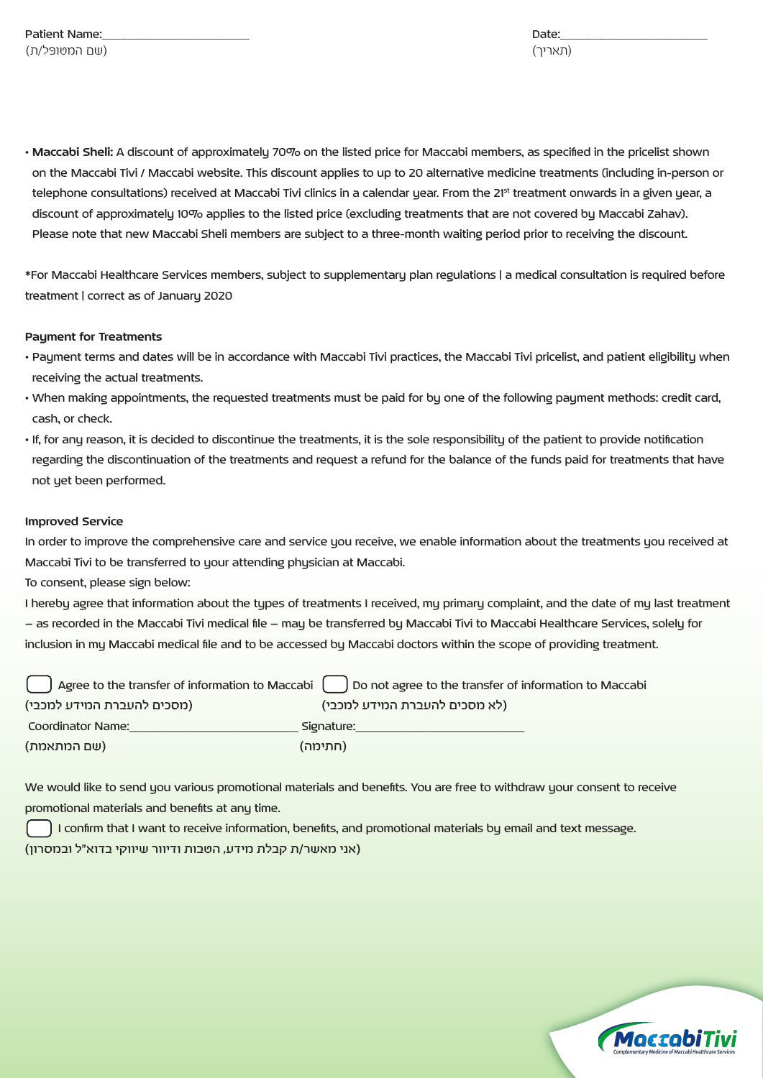• Maccabi Sheli: A discount of approximately 70% on the listed price for Maccabi members, as specified in the pricelist shown on the Maccabi Tivi / Maccabi website. This discount applies to up to 20 alternative medicine treatments (including in-person or telephone consultations) received at Maccabi Tivi clinics in a calendar year. From the 21<sup>st</sup> treatment onwards in a given year, a discount of approximately 10% applies to the listed price (excluding treatments that are not covered by Maccabi Zahav). Please note that new Maccabi Sheli members are subject to a three-month waiting period prior to receiving the discount.

\*For Maccabi Healthcare Services members, subject to supplementary plan regulations | a medical consultation is required before treatment | correct as of January 2020

### **Payment for Treatments**

- Payment terms and dates will be in accordance with Maccabi Tivi practices, the Maccabi Tivi pricelist, and patient eligibility when receiving the actual treatments.
- When making appointments, the requested treatments must be paid for by one of the following payment methods: credit card, cash, or check.
- If, for any reason, it is decided to discontinue the treatments, it is the sole responsibility of the patient to provide notification regarding the discontinuation of the treatments and request a refund for the balance of the funds paid for treatments that have not yet been performed.

## **Improved Service**

In order to improve the comprehensive care and service you receive, we enable information about the treatments you received at Maccabi Tivi to be transferred to your attending physician at Maccabi.

To consent, please sign below:

I hereby agree that information about the types of treatments I received, my primary complaint, and the date of my last treatment - as recorded in the Maccabi Tivi medical file – may be transferred by Maccabi Tivi to Maccabi Healthcare Services, solely for inclusion in my Maccabi medical file and to be accessed by Maccabi doctors within the scope of providing treatment.

| $\,$ Agree to the transfer of information to Maccabi $\,$ ( | Do not agree to the transfer of information to Maccabi |
|-------------------------------------------------------------|--------------------------------------------------------|
| (מסכים להעברת המידע למכבי)                                  | (לא מסכים להעברת המידע למכבי)                          |
| Coordinator Name:                                           | Signature:                                             |
| (שם המתאמת)                                                 | (חתימה)                                                |

We would like to send you various promotional materials and benefits. You are free to withdraw your consent to receive promotional materials and benefits at any time.

I confirm that I want to receive information, benefits, and promotional materials by email and text message. (אני מאשר/ת קבלת מידע, הטבות ודיוור שיווקי בדוא"ל ובמסרון)